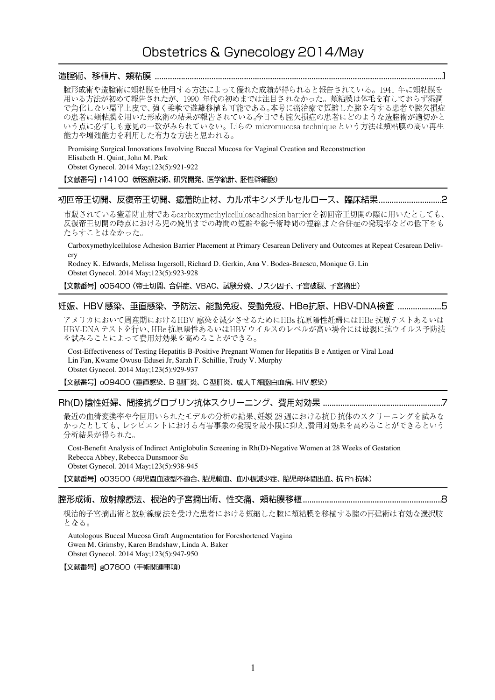# Obstetrics & Gynecology 2014/May

# 

腟形成術や造腟術に頬粘膜を使用する方法によって優れた成績が得られると報告されている。1941年に頬粘膜を 用いる方法が初めて報告されたが、1990年代の初めまでは注目されなかった。頬粘膜は体毛を有しておらず湿潤 で角化しない扁平上皮で、強く柔軟で遊離移植も可能である。本号に癌治療で短縮した腟を有する患者や腟欠損症 の患者に頬粘膜を用いた形成術の結果が報告されている。今日でも腟欠損症の患者にどのような造腟術が適切かと いう点に必ずしも意見の一致がみられていない。Liらの micromucosa technique という方法は頬粘膜の高い再生 能力や増殖能力を利用した有力な方法と思われる。

Promising Surgical Innovations Involving Buccal Mucosa for Vaginal Creation and Reconstruction Elisabeth H. Quint, John M. Park Obstet Gynecol. 2014 May;123(5):921-922

#### 【文献番号】 r14100 (新医療技術、研究開発、医学統計、胚性幹細胞)

# 

市販されている癒着防止材であるcarboxymethylcelluloseadhesion barrierを初回帝王切開の際に用いたとしても、 反復帝王切開の時点における児の娩出までの時間の短縮や総手術時間の短縮また合併症の発現率などの低下をも たらすことはなかった。

Carboxymethylcellulose Adhesion Barrier Placement at Primary Cesarean Delivery and Outcomes at Repeat Cesarean Delivery

Rodney K. Edwards, Melissa Ingersoll, Richard D. Gerkin, Ana V. Bodea-Braescu, Monique G. Lin Obstet Gynecol. 2014 May;123(5):923-928

【文献番号】 oO6400 (帝王切開、合併症、VBAC、試験分娩、リスク因子、子宮破裂、子宮摘出)

#### 妊娠、HBV 感染、垂直感染、予防法、能動免疫、受動免疫、HBe抗原、HBV-DNA検査 ....................5

アメリカにおいて周産期におけるHBV 感染を減少させるためにHBs 抗原陽性妊婦にはHBe 抗原テストあるいは HBV-DNA テストを行い、HBe抗原陽性あるいはHBV ウイルスのレベルが高い場合には母親に抗ウイルス予防法 を試みることによって費用対効果を高めることができる。

Cost-Effectiveness of Testing Hepatitis B-Positive Pregnant Women for Hepatitis B e Antigen or Viral Load Lin Fan, Kwame Owusu-Edusei Jr, Sarah F. Schillie, Trudy V. Murphy Obstet Gynecol. 2014 May;123(5):929-937

【文献番号】 009400 (垂直感染、B 型肝炎、C 型肝炎、成人T 細胞白血病、HIV 感染)

# 

最近の血清変換率や今回用いられたモデルの分析の結果、妊娠28週における抗D抗体のスクリーニングを試みな かったとしても、レシピエントにおける有害事象の発現を最小限に抑え、費用対効果を高めることができるという 分析結果が得られた。

Cost-Benefit Analysis of Indirect Antiglobulin Screening in Rh(D)-Negative Women at 28 Weeks of Gestation Rebecca Abbey, Rebecca Dunsmoor-Su Obstet Gynecol. 2014 May;123(5):938-945

【文献番号】 oO3500 (母児間血液型不適合、胎児輸血、血小板減少症、胎児母体間出血、抗 Rh 抗体)

## 

根治的子宮摘出術と放射線療法を受けた患者における短縮した腟に頬粘膜を移植する腟の再建術は有効な選択肢 となる。

Autologous Buccal Mucosa Graft Augmentation for Foreshortened Vagina Gwen M. Grimsby, Karen Bradshaw, Linda A. Baker Obstet Gynecol. 2014 May;123(5):947-950

【文献番号】gO7600 (手術関連事項)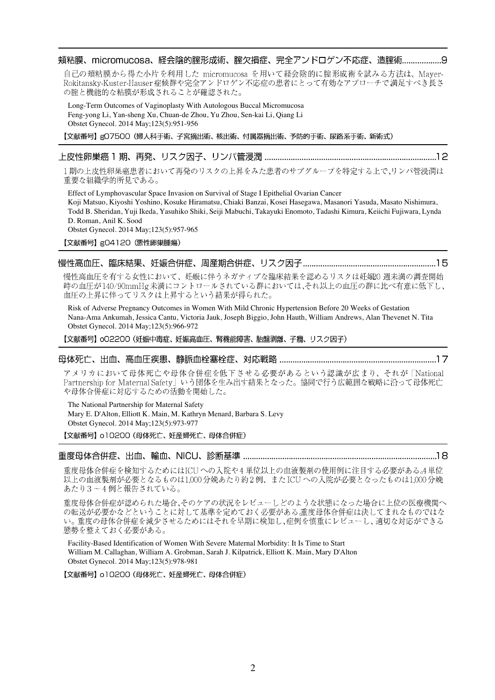## 頬粘膜、micromucosa、経会陰的腟形成術、腟欠損症、完全アンドロゲン不応症、造腟術.........................9

自己の頬粘膜から得た小片を利用した micromucosa を用いて経会陰的に腟形成術を試みる方法は、Maver-Rokitansky-Kuster-Hauser症候群や完全アンドロゲン不応症の患者にとって有効なアプローチで満足すべき長さ の腟と機能的な粘膜が形成されることが確認された。

Long-Term Outcomes of Vaginoplasty With Autologous Buccal Micromucosa Feng-yong Li, Yan-sheng Xu, Chuan-de Zhou, Yu Zhou, Sen-kai Li, Qiang Li Obstet Gynecol. 2014 May;123(5):951-956

【文献番号】gO7500 (婦人科手術、子宮摘出術、核出術、付属器摘出術、予防的手術、尿路系手術、新術式)

#### 

1期の上皮性卵巣癌患者において再発のリスクの上昇をみた患者のサブグループを特定する上で、リンパ管浸潤は 重要な組織学的所見である。

Effect of Lymphovascular Space Invasion on Survival of Stage I Epithelial Ovarian Cancer Koji Matsuo, Kiyoshi Yoshino, Kosuke Hiramatsu, Chiaki Banzai, Kosei Hasegawa, Masanori Yasuda, Masato Nishimura, Todd B. Sheridan, Yuji Ikeda, Yasuhiko Shiki, Seiji Mabuchi, Takayuki Enomoto, Tadashi Kimura, Keiichi Fujiwara, Lynda D. Roman, Anil K. Sood

Obstet Gynecol. 2014 May;123(5):957-965

【文献番号】gO4120 (悪性卵巣腫瘍)

#### 

慢性高血圧を有する女性において、妊娠に伴うネガティブな臨床結果を認めるリスクは妊娠20週未満の調査開始 時の血圧が140/90mmHg未満にコントロールされている群においては、それ以上の血圧の群に比べ有意に低下し、 血圧の上昇に伴ってリスクは上昇するという結果が得られた。

Risk of Adverse Pregnancy Outcomes in Women With Mild Chronic Hypertension Before 20 Weeks of Gestation Nana-Ama Ankumah, Jessica Cantu, Victoria Jauk, Joseph Biggio, John Hauth, William Andrews, Alan Thevenet N. Tita Obstet Gynecol. 2014 May;123(5):966-972

【文献番号】 oO2200 (妊娠中毒症、妊娠高血圧、腎機能障害、胎盤剥離、子癇、リスク因子)

#### 母体死亡、出血、高血圧疾患、静脈血栓塞栓症、対応戦略 …………………………………………………………………17

アメリカにおいて母体死亡や母体合併症を低下させる必要があるという認識が広まり、それが「National Partnership for Maternal Safety」いう団体を生み出す結果となった。協同で行う広範囲な戦略に沿って母体死亡 や母体合併症に対応するための活動を開始した。

The National Partnership for Maternal Safety Mary E. D'Alton, Elliott K. Main, M. Kathryn Menard, Barbara S. Levy Obstet Gynecol. 2014 May;123(5):973-977

【文献番号】 o10200 (母体死亡、妊産婦死亡、母体合併症)

#### 重度母体合併症、出血、輸血、NICU、診断基準 …………………………………………………………………………………18

重度母体合併症を検知するためにはICUへの入院や4単位以上の血液製剤の使用例に注目する必要がある。4単位 以上の血液製剤が必要となるものは1,000分娩あたり約2例、またICUへの入院が必要となったものは1,000分娩 あたり3~4例と報告されている。

重度母体合併症が認められた場合、そのケアの状況をレビューしどのような状態になった場合に上位の医療機関へ の転送が必要かなどということに対して基準を定めておく必要がある、重度母体合併症は決してまれなものではな い。重度の母体合併症を減少させるためにはそれを早期に検知し、症例を慎重にレビューし、適切な対応ができる 態勢を整えておく必要がある。

Facility-Based Identification of Women With Severe Maternal Morbidity: It Is Time to Start William M. Callaghan, William A. Grobman, Sarah J. Kilpatrick, Elliott K. Main, Mary D'Alton Obstet Gynecol. 2014 May;123(5):978-981

【文献番号】 o10200 (母体死亡、妊産婦死亡、母体合併症)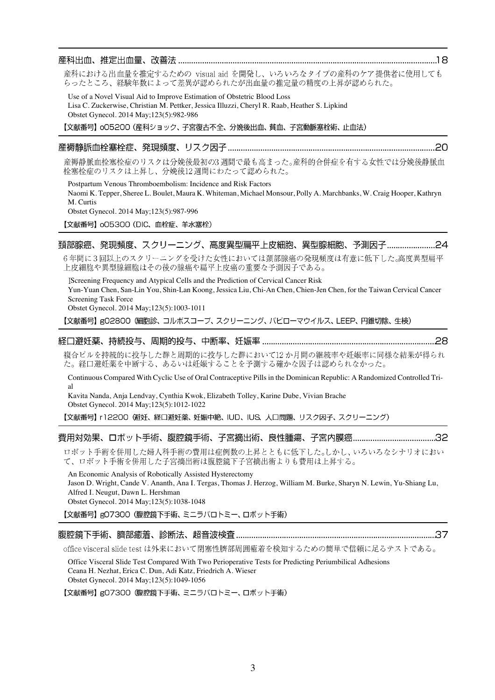#### 

産科における出血量を推定するための visual aid を開発し、いろいろなタイプの産科のケア提供者に使用しても らったところ、経験年数によって差異が認められたが出血量の推定量の精度の上昇が認められた。

Use of a Novel Visual Aid to Improve Estimation of Obstetric Blood Loss Lisa C. Zuckerwise, Christian M. Pettker, Jessica Illuzzi, Cheryl R. Raab, Heather S. Lipkind Obstet Gynecol. 2014 May;123(5):982-986

【文献番号】 005200 (産科ショック、子宮復古不全、分娩後出血、貧血、子宮動脈塞栓術、止血法)

#### 

産褥静脈血栓塞栓症のリスクは分娩後最初の3週間で最も高まった。産科的合併症を有する女性では分娩後静脈血 栓塞栓症のリスクは上昇し、分娩後12週間にわたって認められた。

Postpartum Venous Thromboembolism: Incidence and Risk Factors Naomi K. Tepper, Sheree L. Boulet, Maura K. Whiteman, Michael Monsour, Polly A. Marchbanks, W. Craig Hooper, Kathryn M. Curtis Obstet Gynecol. 2014 May;123(5):987-996

【文献番号】 oO5300 (DIC、血栓症、羊水塞栓)

#### 

6年間に3回以上のスクリーニングを受けた女性においては頚部腺癌の発現頻度は有意に低下した。高度異型扁平 上皮細胞や異型腺細胞はその後の腺癌や扁平上皮癌の重要な予測因子である。

Screening Frequency and Atypical Cells and the Prediction of Cervical Cancer Risk Yun-Yuan Chen, San-Lin You, Shin-Lan Koong, Jessica Liu, Chi-An Chen, Chien-Jen Chen, for the Taiwan Cervical Cancer Screening Task Force Obstet Gynecol. 2014 May;123(5):1003-1011

【文献番号】gO2800 (細胞診、コルポスコープ、スクリーニング、パピローマウイルス、LEEP、円錐切除、生検)

#### 

複合ピルを持続的に投与した群と周期的に投与した群において12か月間の継続率や妊娠率に同様な結果が得られ た。経口避妊薬を中断する、あるいは妊娠することを予測する確かな因子は認められなかった。

Continuous Compared With Cyclic Use of Oral Contraceptive Pills in the Dominican Republic: A Randomized Controlled Trial

Kavita Nanda, Anja Lendvay, Cynthia Kwok, Elizabeth Tolley, Karine Dube, Vivian Brache Obstet Gynecol. 2014 May;123(5):1012-1022

【文献番号】 r12200 (避妊、経口避妊薬、妊娠中絶、IUD、IUS、人口問題、リスク因子、スクリーニング)

# 

ロボット手術を併用した婦人科手術の費用は症例数の上昇とともに低下した。しかし、いろいろなシナリオにおい て、ロボット手術を併用した子宮摘出術は腹腔鏡下子宮摘出術よりも費用は上昇する。

An Economic Analysis of Robotically Assisted Hysterectomy Jason D. Wright, Cande V. Ananth, Ana I. Tergas, Thomas J. Herzog, William M. Burke, Sharyn N. Lewin, Yu-Shiang Lu, Alfred I. Neugut, Dawn L. Hershman Obstet Gynecol. 2014 May;123(5):1038-1048

【文献番号】gO7300 (腹腔鏡下手術、ミニラパロトミー、ロボット手術)

#### 

office visceral slide test は外来において閉塞性臍部周囲癒着を検知するための簡単で信頼に足るテストである。

Office Visceral Slide Test Compared With Two Perioperative Tests for Predicting Periumbilical Adhesions Ceana H. Nezhat, Erica C. Dun, Adi Katz, Friedrich A. Wieser Obstet Gynecol. 2014 May;123(5):1049-1056

【文献番号】gO7300 (腹腔鏡下手術、ミニラバロトミー、ロボット手術)